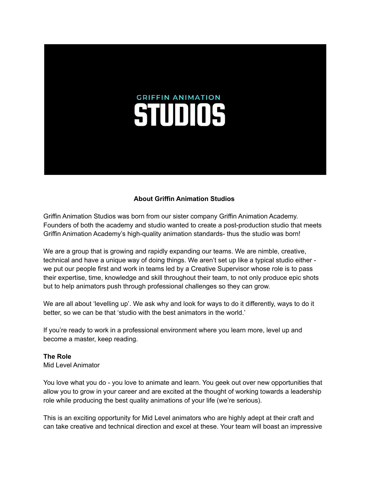# **GRIFFIN ANIMATION STUDIOS**

#### **About Griffin Animation Studios**

Griffin Animation Studios was born from our sister company Griffin Animation Academy. Founders of both the academy and studio wanted to create a post-production studio that meets Griffin Animation Academy's high-quality animation standards- thus the studio was born!

We are a group that is growing and rapidly expanding our teams. We are nimble, creative, technical and have a unique way of doing things. We aren't set up like a typical studio either we put our people first and work in teams led by a Creative Supervisor whose role is to pass their expertise, time, knowledge and skill throughout their team, to not only produce epic shots but to help animators push through professional challenges so they can grow.

We are all about 'levelling up'. We ask why and look for ways to do it differently, ways to do it better, so we can be that 'studio with the best animators in the world.'

If you're ready to work in a professional environment where you learn more, level up and become a master, keep reading.

# **The Role**

Mid Level Animator

You love what you do - you love to animate and learn. You geek out over new opportunities that allow you to grow in your career and are excited at the thought of working towards a leadership role while producing the best quality animations of your life (we're serious).

This is an exciting opportunity for Mid Level animators who are highly adept at their craft and can take creative and technical direction and excel at these. Your team will boast an impressive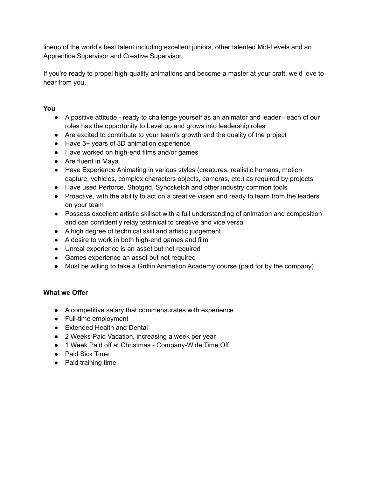lineup of the world's best talent including excellent juniors, other talented Mid-Levels and an Apprentice Supervisor and Creative Supervisor.

If you're ready to propel high-quality animations and become a master at your craft, we'd love to hear from you.

# **You**

- A positive attitude ready to challenge yourself as an animator and leader each of our roles has the opportunity to Level up and grows into leadership roles
- Are excited to contribute to your team's growth and the quality of the project
- Have 5+ years of 3D animation experience
- Have worked on high-end films and/or games
- Are fluent in Maya
- Have Experience Animating in various styles (creatures, realistic humans, motion capture, vehicles, complex characters objects, cameras, etc.) as required by projects
- Have used Perforce, Shotgrid, Syncsketch and other industry common tools
- Proactive, with the ability to act on a creative vision and ready to learn from the leaders on your team
- Possess excellent artistic skillset with a full understanding of animation and composition and can confidently relay technical to creative and vice versa
- A high degree of technical skill and artistic judgement
- A desire to work in both high-end games and film
- Unreal experience is an asset but not required
- Games experience an asset but not required
- Must be willing to take a Griffin Animation Academy course (paid for by the company)

# **What we Offer**

- A competitive salary that commensurates with experience
- Full-time employment
- Extended Health and Dental
- 2 Weeks Paid Vacation, increasing a week per year
- 1 Week Paid off at Christmas Company-Wide Time Off
- Paid Sick Time
- Paid training time